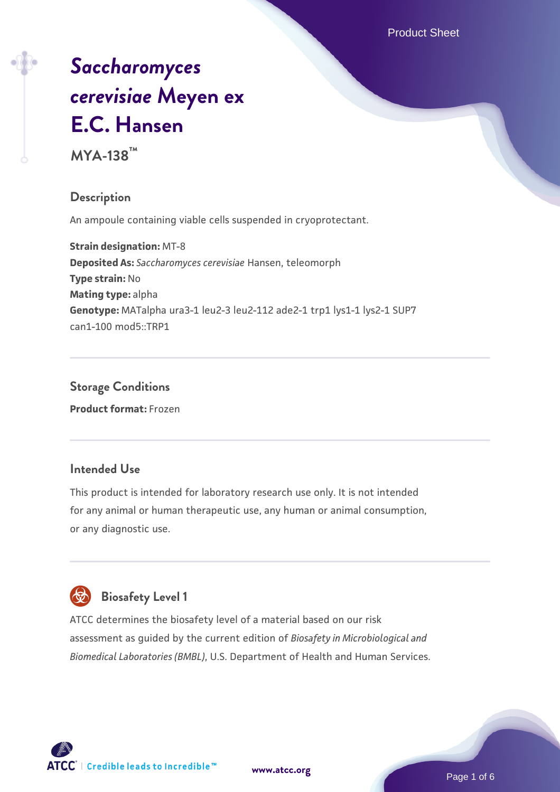Product Sheet

# *[Saccharomyces](https://www.atcc.org/products/mya-138) [cerevisiae](https://www.atcc.org/products/mya-138)* **[Meyen ex](https://www.atcc.org/products/mya-138) [E.C. Hansen](https://www.atcc.org/products/mya-138)**

**MYA-138™**

#### **Description**

An ampoule containing viable cells suspended in cryoprotectant.

**Strain designation:** MT-8 **Deposited As:** *Saccharomyces cerevisiae* Hansen, teleomorph **Type strain:** No **Mating type:** alpha Genotype: MATalpha ura3-1 leu2-3 leu2-112 ade2-1 trp1 lys1-1 lys2-1 SUP7 can1-100 mod5::TRP1

**Storage Conditions Product format:** Frozen

#### **Intended Use**

This product is intended for laboratory research use only. It is not intended for any animal or human therapeutic use, any human or animal consumption, or any diagnostic use.



### **Biosafety Level 1**

ATCC determines the biosafety level of a material based on our risk assessment as guided by the current edition of *Biosafety in Microbiological and Biomedical Laboratories (BMBL)*, U.S. Department of Health and Human Services.

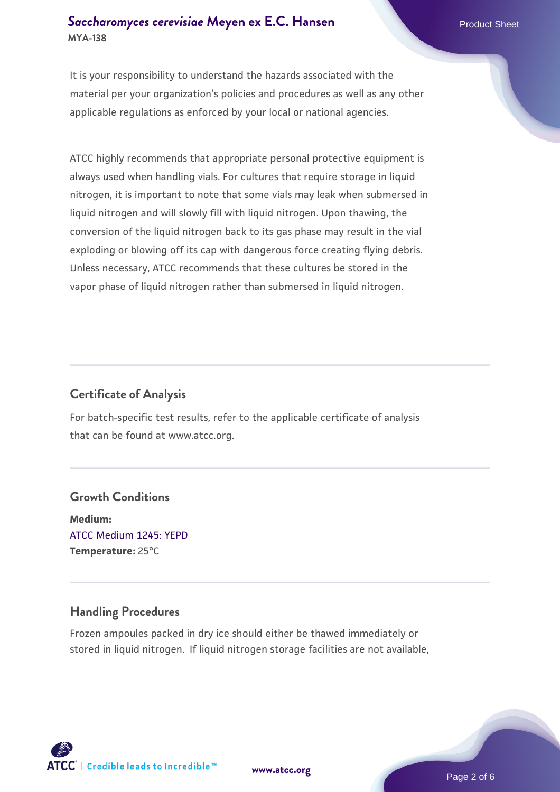#### **[Saccharomyces cerevisiae](https://www.atcc.org/products/mya-138)** [Meyen ex E.C. Hansen](https://www.atcc.org/products/mya-138) **MYA-138**

It is your responsibility to understand the hazards associated with the material per your organization's policies and procedures as well as any other applicable regulations as enforced by your local or national agencies.

ATCC highly recommends that appropriate personal protective equipment is always used when handling vials. For cultures that require storage in liquid nitrogen, it is important to note that some vials may leak when submersed in liquid nitrogen and will slowly fill with liquid nitrogen. Upon thawing, the conversion of the liquid nitrogen back to its gas phase may result in the vial exploding or blowing off its cap with dangerous force creating flying debris. Unless necessary, ATCC recommends that these cultures be stored in the vapor phase of liquid nitrogen rather than submersed in liquid nitrogen.

### **Certificate of Analysis**

For batch-specific test results, refer to the applicable certificate of analysis that can be found at www.atcc.org.

#### **Growth Conditions**

**Medium:**  [ATCC Medium 1245: YEPD](https://www.atcc.org/-/media/product-assets/documents/microbial-media-formulations/1/2/4/5/atcc-medium-1245.pdf?rev=705ca55d1b6f490a808a965d5c072196) **Temperature:** 25°C

#### **Handling Procedures**

Frozen ampoules packed in dry ice should either be thawed immediately or stored in liquid nitrogen. If liquid nitrogen storage facilities are not available,

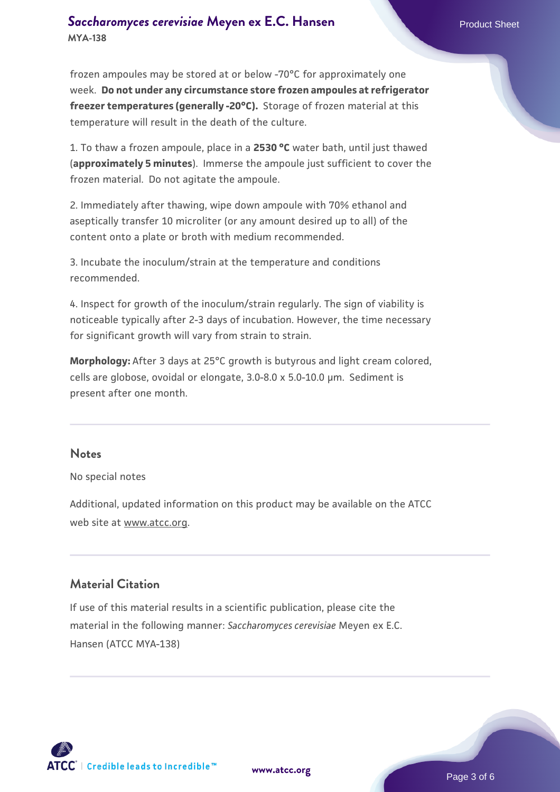#### **[Saccharomyces cerevisiae](https://www.atcc.org/products/mya-138)** [Meyen ex E.C. Hansen](https://www.atcc.org/products/mya-138) **MYA-138**

frozen ampoules may be stored at or below -70°C for approximately one week. **Do not under any circumstance store frozen ampoules at refrigerator freezer temperatures (generally -20°C).** Storage of frozen material at this temperature will result in the death of the culture.

1. To thaw a frozen ampoule, place in a **2530 °C** water bath, until just thawed (**approximately 5 minutes**). Immerse the ampoule just sufficient to cover the frozen material. Do not agitate the ampoule.

2. Immediately after thawing, wipe down ampoule with 70% ethanol and aseptically transfer 10 microliter (or any amount desired up to all) of the content onto a plate or broth with medium recommended.

3. Incubate the inoculum/strain at the temperature and conditions recommended.

4. Inspect for growth of the inoculum/strain regularly. The sign of viability is noticeable typically after 2-3 days of incubation. However, the time necessary for significant growth will vary from strain to strain.

**Morphology:** After 3 days at 25°C growth is butyrous and light cream colored, cells are globose, ovoidal or elongate, 3.0-8.0 x 5.0-10.0 µm. Sediment is present after one month.

#### **Notes**

No special notes

Additional, updated information on this product may be available on the ATCC web site at www.atcc.org.

#### **Material Citation**

If use of this material results in a scientific publication, please cite the material in the following manner: *Saccharomyces cerevisiae* Meyen ex E.C. Hansen (ATCC MYA-138)

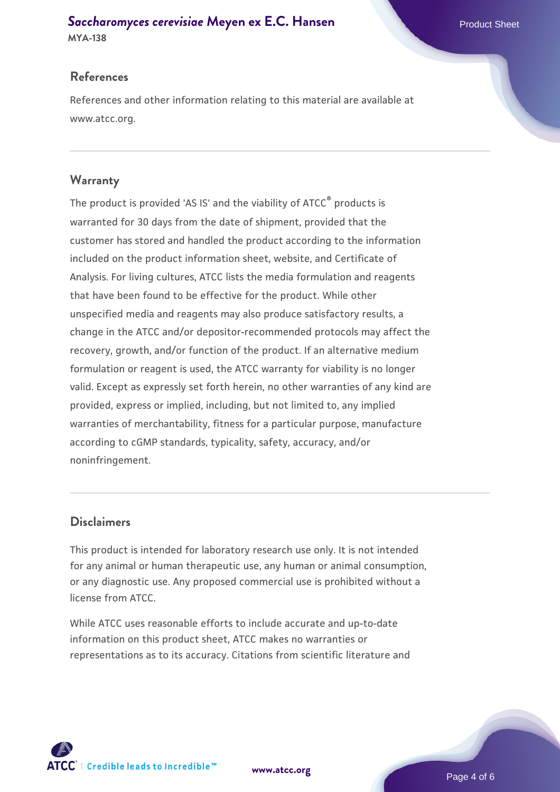## **[Saccharomyces cerevisiae](https://www.atcc.org/products/mya-138)** [Meyen ex E.C. Hansen](https://www.atcc.org/products/mya-138)

**MYA-138**

#### **References**

References and other information relating to this material are available at www.atcc.org.

#### **Warranty**

The product is provided 'AS IS' and the viability of ATCC® products is warranted for 30 days from the date of shipment, provided that the customer has stored and handled the product according to the information included on the product information sheet, website, and Certificate of Analysis. For living cultures, ATCC lists the media formulation and reagents that have been found to be effective for the product. While other unspecified media and reagents may also produce satisfactory results, a change in the ATCC and/or depositor-recommended protocols may affect the recovery, growth, and/or function of the product. If an alternative medium formulation or reagent is used, the ATCC warranty for viability is no longer valid. Except as expressly set forth herein, no other warranties of any kind are provided, express or implied, including, but not limited to, any implied warranties of merchantability, fitness for a particular purpose, manufacture according to cGMP standards, typicality, safety, accuracy, and/or noninfringement.

#### **Disclaimers**

This product is intended for laboratory research use only. It is not intended for any animal or human therapeutic use, any human or animal consumption, or any diagnostic use. Any proposed commercial use is prohibited without a license from ATCC.

While ATCC uses reasonable efforts to include accurate and up-to-date information on this product sheet, ATCC makes no warranties or representations as to its accuracy. Citations from scientific literature and



**[www.atcc.org](http://www.atcc.org)**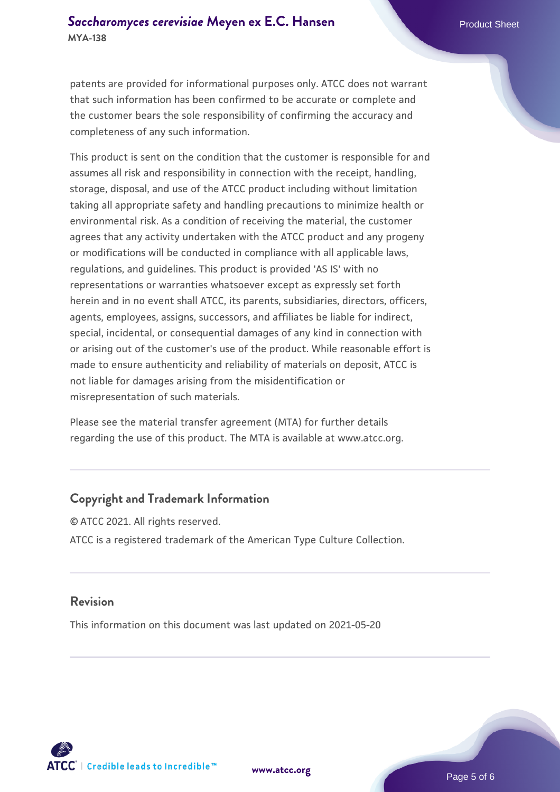patents are provided for informational purposes only. ATCC does not warrant that such information has been confirmed to be accurate or complete and the customer bears the sole responsibility of confirming the accuracy and completeness of any such information.

This product is sent on the condition that the customer is responsible for and assumes all risk and responsibility in connection with the receipt, handling, storage, disposal, and use of the ATCC product including without limitation taking all appropriate safety and handling precautions to minimize health or environmental risk. As a condition of receiving the material, the customer agrees that any activity undertaken with the ATCC product and any progeny or modifications will be conducted in compliance with all applicable laws, regulations, and guidelines. This product is provided 'AS IS' with no representations or warranties whatsoever except as expressly set forth herein and in no event shall ATCC, its parents, subsidiaries, directors, officers, agents, employees, assigns, successors, and affiliates be liable for indirect, special, incidental, or consequential damages of any kind in connection with or arising out of the customer's use of the product. While reasonable effort is made to ensure authenticity and reliability of materials on deposit, ATCC is not liable for damages arising from the misidentification or misrepresentation of such materials.

Please see the material transfer agreement (MTA) for further details regarding the use of this product. The MTA is available at www.atcc.org.

#### **Copyright and Trademark Information**

© ATCC 2021. All rights reserved. ATCC is a registered trademark of the American Type Culture Collection.

#### **Revision**

This information on this document was last updated on 2021-05-20



**[www.atcc.org](http://www.atcc.org)**